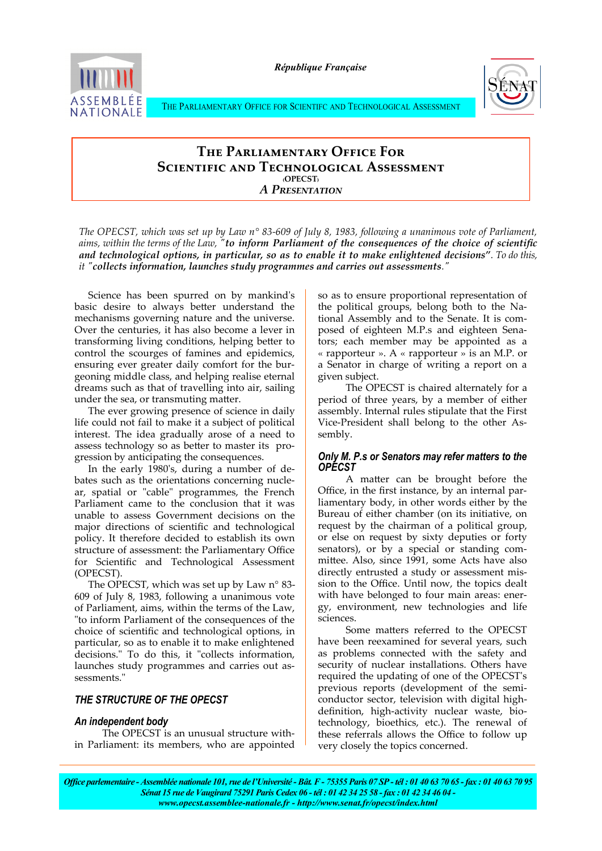

*République Française*



THE PARLIAMENTARY OFFICE FOR SCIENTIFC AND TECHNOLOGICAL ASSESSMENT

# **The Parliamentary Office For Scientific and Technological Assessment (OPECST)** *A Presentation*

*The OPECST, which was set up by Law n° 83-609 of July 8, 1983, following a unanimous vote of Parliament, aims, within the terms of the Law, "to inform Parliament of the consequences of the choice of scientific and technological options, in particular, so as to enable it to make enlightened decisions". To do this, it "collects information, launches study programmes and carries out assessments."*

Science has been spurred on by mankind's basic desire to always better understand the mechanisms governing nature and the universe. Over the centuries, it has also become a lever in transforming living conditions, helping better to control the scourges of famines and epidemics, ensuring ever greater daily comfort for the burgeoning middle class, and helping realise eternal dreams such as that of travelling into air, sailing under the sea, or transmuting matter.

The ever growing presence of science in daily life could not fail to make it a subject of political interest. The idea gradually arose of a need to assess technology so as better to master its progression by anticipating the consequences.

In the early 1980's, during a number of debates such as the orientations concerning nuclear, spatial or "cable" programmes, the French Parliament came to the conclusion that it was unable to assess Government decisions on the major directions of scientific and technological policy. It therefore decided to establish its own structure of assessment: the Parliamentary Office for Scientific and Technological Assessment (OPECST).

The OPECST, which was set up by Law n° 83- 609 of July 8, 1983, following a unanimous vote of Parliament, aims, within the terms of the Law, "to inform Parliament of the consequences of the choice of scientific and technological options, in particular, so as to enable it to make enlightened decisions." To do this, it "collects information, launches study programmes and carries out assessments."

# *THE STRUCTURE OF THE OPECST*

# *An independent body*

The OPECST is an unusual structure within Parliament: its members, who are appointed so as to ensure proportional representation of the political groups, belong both to the National Assembly and to the Senate. It is composed of eighteen M.P.s and eighteen Senators; each member may be appointed as a « rapporteur ». A « rapporteur » is an M.P. or a Senator in charge of writing a report on a given subject.

The OPECST is chaired alternately for a period of three years, by a member of either assembly. Internal rules stipulate that the First Vice-President shall belong to the other Assembly.

# *Only M. P.s or Senators may refer matters to the OPECST*

A matter can be brought before the Office, in the first instance, by an internal parliamentary body, in other words either by the Bureau of either chamber (on its initiative, on request by the chairman of a political group, or else on request by sixty deputies or forty senators), or by a special or standing committee. Also, since 1991, some Acts have also directly entrusted a study or assessment mission to the Office. Until now, the topics dealt with have belonged to four main areas: energy, environment, new technologies and life sciences.

Some matters referred to the OPECST have been reexamined for several years, such as problems connected with the safety and security of nuclear installations. Others have required the updating of one of the OPECST's previous reports (development of the semiconductor sector, television with digital highdefinition, high-activity nuclear waste, biotechnology, bioethics, etc.). The renewal of these referrals allows the Office to follow up very closely the topics concerned.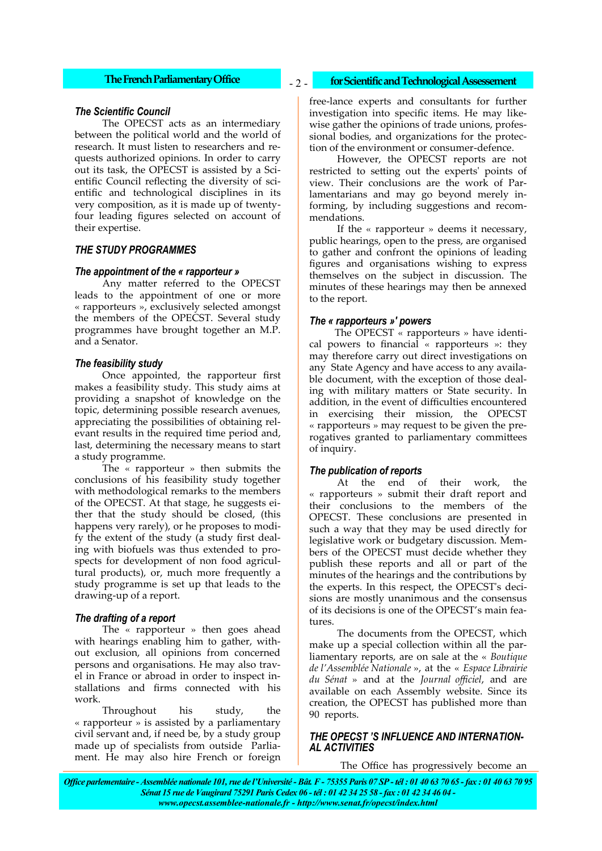# *The Scientific Council*

The OPECST acts as an intermediary between the political world and the world of research. It must listen to researchers and requests authorized opinions. In order to carry out its task, the OPECST is assisted by a Scientific Council reflecting the diversity of scientific and technological disciplines in its very composition, as it is made up of twentyfour leading figures selected on account of their expertise.

# *THE STUDY PROGRAMMES*

# *The appointment of the « rapporteur »*

Any matter referred to the OPECST leads to the appointment of one or more « rapporteurs », exclusively selected amongst the members of the OPECST. Several study programmes have brought together an M.P. and a Senator.

# *The feasibility study*

Once appointed, the rapporteur first makes a feasibility study. This study aims at providing a snapshot of knowledge on the topic, determining possible research avenues, appreciating the possibilities of obtaining relevant results in the required time period and, last, determining the necessary means to start a study programme.

The « rapporteur » then submits the conclusions of his feasibility study together with methodological remarks to the members of the OPECST. At that stage, he suggests either that the study should be closed, (this happens very rarely), or he proposes to modify the extent of the study (a study first dealing with biofuels was thus extended to prospects for development of non food agricultural products), or, much more frequently a study programme is set up that leads to the drawing-up of a report.

### *The drafting of a report*

The « rapporteur » then goes ahead with hearings enabling him to gather, without exclusion, all opinions from concerned persons and organisations. He may also travel in France or abroad in order to inspect installations and firms connected with his work.

Throughout his study, the « rapporteur » is assisted by a parliamentary civil servant and, if need be, by a study group made up of specialists from outside Parliament. He may also hire French or foreign

# **The French Parliamentary Office**  $\begin{bmatrix} 2 & 2 \end{bmatrix}$  **for Scientific and Technological Assessement**

 $-2-$ 

free-lance experts and consultants for further investigation into specific items. He may likewise gather the opinions of trade unions, professional bodies, and organizations for the protection of the environment or consumer-defence.

However, the OPECST reports are not restricted to setting out the experts' points of view. Their conclusions are the work of Parlamentarians and may go beyond merely informing, by including suggestions and recommendations.

If the « rapporteur » deems it necessary, public hearings, open to the press, are organised to gather and confront the opinions of leading figures and organisations wishing to express themselves on the subject in discussion. The minutes of these hearings may then be annexed to the report.

## *The « rapporteurs »' powers*

The OPECST « rapporteurs » have identical powers to financial « rapporteurs »: they may therefore carry out direct investigations on any State Agency and have access to any available document, with the exception of those dealing with military matters or State security. In addition, in the event of difficulties encountered in exercising their mission, the OPECST « rapporteurs » may request to be given the prerogatives granted to parliamentary committees of inquiry.

### *The publication of reports*

At the end of their work, the « rapporteurs » submit their draft report and their conclusions to the members of the OPECST. These conclusions are presented in such a way that they may be used directly for legislative work or budgetary discussion. Members of the OPECST must decide whether they publish these reports and all or part of the minutes of the hearings and the contributions by the experts. In this respect, the OPECST's decisions are mostly unanimous and the consensus of its decisions is one of the OPECST's main features.

The documents from the OPECST, which make up a special collection within all the parliamentary reports, are on sale at the « *Boutique de l'Assemblée Nationale* », at the « *Espace Librairie du Sénat* » and at the *Journal officiel*, and are available on each Assembly website. Since its creation, the OPECST has published more than 90 reports.

# *THE OPECST 'S INFLUENCE AND INTERNATION-AL ACTIVITIES*

The Office has progressively become an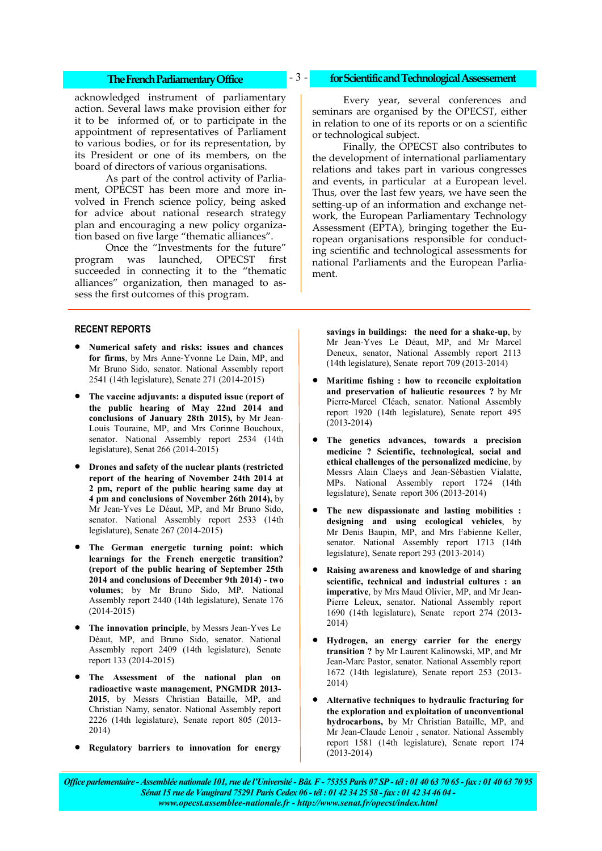- 3 -

acknowledged instrument of parliamentary action. Several laws make provision either for it to be informed of, or to participate in the appointment of representatives of Parliament to various bodies, or for its representation, by its President or one of its members, on the board of directors of various organisations.

As part of the control activity of Parliament, OPECST has been more and more involved in French science policy, being asked for advice about national research strategy plan and encouraging a new policy organization based on five large "thematic alliances".

Once the "Investments for the future" program was launched, OPECST first succeeded in connecting it to the "thematic alliances" organization, then managed to assess the first outcomes of this program.

## **RECENT REPORTS**

- **Numerical safety and risks: issues and chances for firms**, by Mrs Anne-Yvonne Le Dain, MP, and Mr Bruno Sido, senator. National Assembly report 2541 (14th legislature), Senate 271 (2014-2015)
- **The vaccine adjuvants: a disputed issue** (**report of the public hearing of May 22nd 2014 and conclusions of January 28th 2015),** by Mr Jean-Louis Touraine, MP, and Mrs Corinne Bouchoux, senator. National Assembly report 2534 (14th legislature), Senat 266 (2014-2015)
- **Drones and safety of the nuclear plants (restricted report of the hearing of November 24th 2014 at 2 pm, report of the public hearing same day at 4 pm and conclusions of November 26th 2014),** by Mr Jean-Yves Le Déaut, MP, and Mr Bruno Sido, senator. National Assembly report 2533 (14th legislature), Senate 267 (2014-2015)
- **The German energetic turning point: which learnings for the French energetic transition? (report of the public hearing of September 25th 2014 and conclusions of December 9th 2014) - two volumes**; by Mr Bruno Sido, MP. National Assembly report 2440 (14th legislature), Senate 176 (2014-2015)
- **The innovation principle**, by Messrs Jean-Yves Le Déaut, MP, and Bruno Sido, senator. National Assembly report 2409 (14th legislature), Senate report 133 (2014-2015)
- **The Assessment of the national plan on radioactive waste management, PNGMDR 2013- 2015**, by Messrs Christian Bataille, MP, and Christian Namy, senator. National Assembly report 2226 (14th legislature), Senate report 805 (2013- 2014)
- **Regulatory barriers to innovation for energy**

# **The French Parliamentary Office for Scientific and Technological Assessement**

Every year, several conferences and seminars are organised by the OPECST, either in relation to one of its reports or on a scientific or technological subject.

Finally, the OPECST also contributes to the development of international parliamentary relations and takes part in various congresses and events, in particular at a European level. Thus, over the last few years, we have seen the setting-up of an information and exchange network, the European Parliamentary Technology Assessment (EPTA), bringing together the European organisations responsible for conducting scientific and technological assessments for national Parliaments and the European Parliament.

**savings in buildings: the need for a shake-up**, by Mr Jean-Yves Le Déaut, MP, and Mr Marcel Deneux, senator, National Assembly report 2113 (14th legislature), Senate report 709 (2013-2014)

- **Maritime fishing : how to reconcile exploitation and preservation of halieutic resources ?** by Mr Pierre-Marcel Cléach, senator. National Assembly report 1920 (14th legislature), Senate report 495 (2013-2014)
- **The genetics advances, towards a precision medicine ? Scientific, technological, social and ethical challenges of the personalized medicine**, by Messrs Alain Claeys and Jean-Sébastien Vialatte, MPs. National Assembly report 1724 (14th legislature), Senate report 306 (2013-2014)
- **The new dispassionate and lasting mobilities : designing and using ecological vehicles**, by Mr Denis Baupin, MP, and Mrs Fabienne Keller, senator. National Assembly report 1713 (14th legislature), Senate report 293 (2013-2014)
- **Raising awareness and knowledge of and sharing scientific, technical and industrial cultures : an imperative**, by Mrs Maud Olivier, MP, and Mr Jean-Pierre Leleux, senator. National Assembly report 1690 (14th legislature), Senate report 274 (2013- 2014)
- **Hydrogen, an energy carrier for the energy transition ?** by Mr Laurent Kalinowski, MP, and Mr Jean-Marc Pastor, senator. National Assembly report 1672 (14th legislature), Senate report 253 (2013- 2014)
- **Alternative techniques to hydraulic fracturing for the exploration and exploitation of unconventional hydrocarbons,** by Mr Christian Bataille, MP, and Mr Jean-Claude Lenoir , senator. National Assembly report 1581 (14th legislature), Senate report 174 (2013-2014)